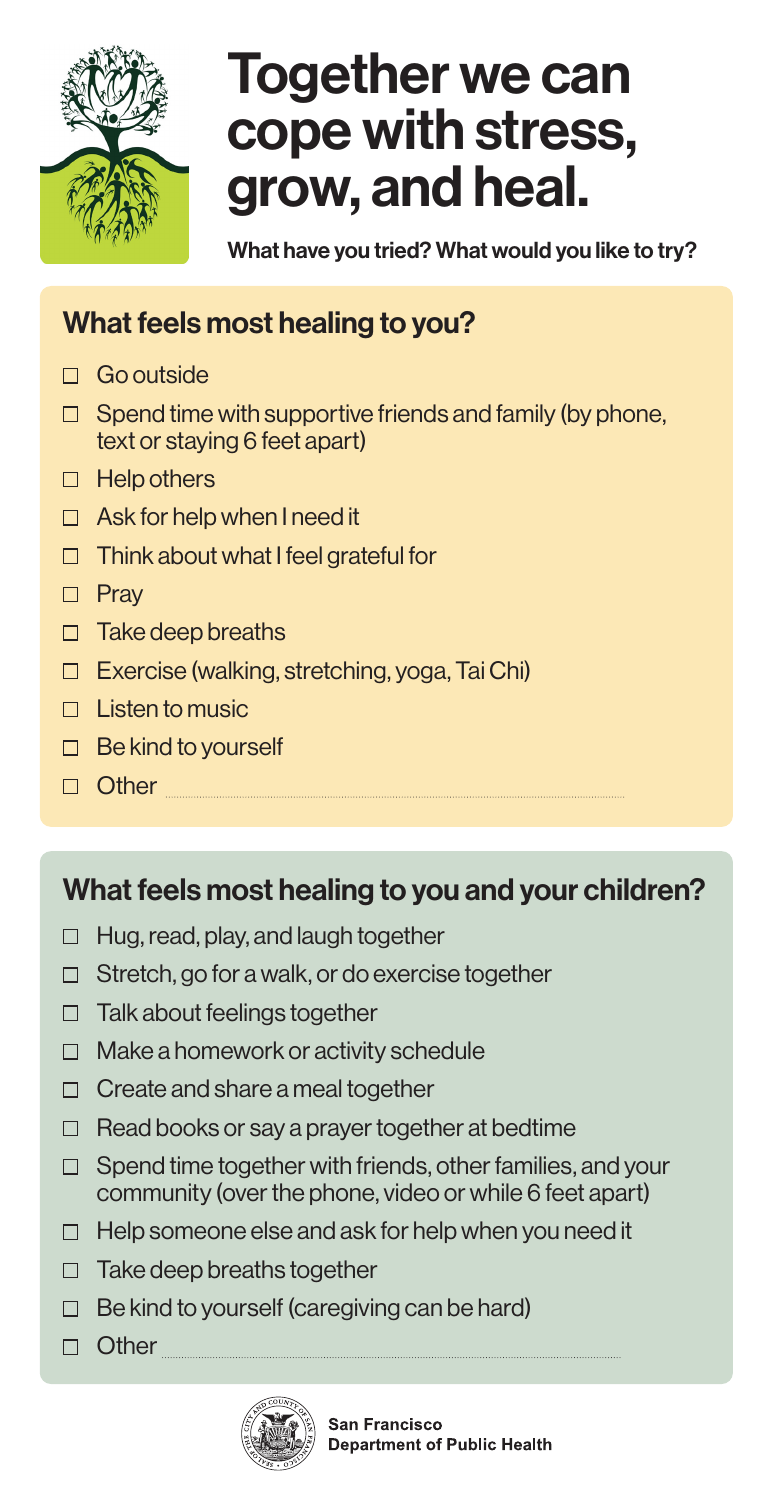

## Together we can **Together**  cope with stress, grow, and heal. **grow, cope with stress**

What have you tried? What would you like to try? **and heal.**

## What feels most healing to you?

- **Health Science Material feels most health feels when the set of the set of the set of the set of the set of the set of the set of the set of the set of the set of the set of the set of the set of the set of the set of the** 
	- $\Box$  Spend time with supportive friends and family (by phone, text or staying 6 feet apart)
	- Help others Help others
	- Ask for help when I need it Ask for help when I need it Think about what I feel grateful for the I feel grateful for the I feel grateful for the I feel grateful for the I feel grateful for the I feel grade of the I feel grade of the I feel grade of the I feel grade of the I fee
	- $\Box$  Think about what I feel grateful for
	- $\Box$  Pray
	- $\Box$  Take deep breaths  $L$   $\sim$   $\sim$   $\sim$
	- □ Exercise (walking, stretching, yoga, Tai Chi)

**your children? Washington?** 

- $\Box$  Listen to music
- $\Box$  Be kind to yourself **What feels most health feels most health feels**
- **Other**

## What feels most healing to you and your children?

- Hug, read, play, and laugh together  $\Box$  $\alpha$ , play, and laugh together
- Stretch, go for a walk, or do exercise together
- Talk about feelings together with the to
- Make a homework or activity schedule
- Create and share a meal together
- Read books or say a prayer together at bedtime
- Spend time together with friends, other families, and your community (over the phone, video or while 6 feet apart)
- Help someone else and ask for help when you need it  $\Box$
- $\Box$  Take deep breaths together
- $\Box$  Be kind to yourself (caregiving can be hard)
- □ Other **Demon**